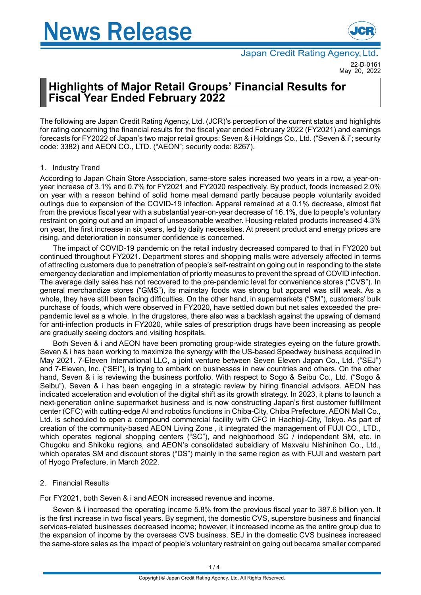

# **Highlights of Major Retail Groups' Financial Results for Fiscal Year Ended February 2022**

The following are Japan Credit Rating Agency, Ltd. (JCR)'s perception of the current status and highlights for rating concerning the financial results for the fiscal year ended February 2022 (FY2021) and earnings forecasts for FY2022 of Japan's two major retail groups: Seven & i Holdings Co., Ltd. ("Seven & i"; security code: 3382) and AEON CO., LTD. ("AEON"; security code: 8267).

# 1. Industry Trend

According to Japan Chain Store Association, same-store sales increased two years in a row, a year-onyear increase of 3.1% and 0.7% for FY2021 and FY2020 respectively. By product, foods increased 2.0% on year with a reason behind of solid home meal demand partly because people voluntarily avoided outings due to expansion of the COVID-19 infection. Apparel remained at a 0.1% decrease, almost flat from the previous fiscal year with a substantial year-on-year decrease of 16.1%, due to people's voluntary restraint on going out and an impact of unseasonable weather. Housing-related products increased 4.3% on year, the first increase in six years, led by daily necessities. At present product and energy prices are rising, and deterioration in consumer confidence is concerned.

The impact of COVID-19 pandemic on the retail industry decreased compared to that in FY2020 but continued throughout FY2021. Department stores and shopping malls were adversely affected in terms of attracting customers due to penetration of people's self-restraint on going out in responding to the state emergency declaration and implementation of priority measures to prevent the spread of COVID infection. The average daily sales has not recovered to the pre-pandemic level for convenience stores ("CVS"). In general merchandize stores ("GMS"), its mainstay foods was strong but apparel was still weak. As a whole, they have still been facing difficulties. On the other hand, in supermarkets ("SM"), customers' bulk purchase of foods, which were observed in FY2020, have settled down but net sales exceeded the prepandemic level as a whole. In the drugstores, there also was a backlash against the upswing of demand for anti-infection products in FY2020, while sales of prescription drugs have been increasing as people are gradually seeing doctors and visiting hospitals.

Both Seven & i and AEON have been promoting group-wide strategies eyeing on the future growth. Seven & i has been working to maximize the synergy with the US-based Speedway business acquired in May 2021. 7-Eleven International LLC, a joint venture between Seven Eleven Japan Co., Ltd. ("SEJ") and 7-Eleven, Inc. ("SEI"), is trying to embark on businesses in new countries and others. On the other hand, Seven & i is reviewing the business portfolio. With respect to Sogo & Seibu Co., Ltd. ("Sogo & Seibu"), Seven & i has been engaging in a strategic review by hiring financial advisors. AEON has indicated acceleration and evolution of the digital shift as its growth strategy. In 2023, it plans to launch a next-generation online supermarket business and is now constructing Japan's first customer fulfillment center (CFC) with cutting-edge AI and robotics functions in Chiba-City, Chiba Prefecture. AEON Mall Co., Ltd. is scheduled to open a compound commercial facility with CFC in Hachioji-City, Tokyo. As part of creation of the community-based AEON Living Zone , it integrated the management of FUJI CO., LTD., which operates regional shopping centers ("SC"), and neighborhood SC / independent SM, etc. in Chugoku and Shikoku regions, and AEON's consolidated subsidiary of Maxvalu Nishinihon Co., Ltd., which operates SM and discount stores ("DS") mainly in the same region as with FUJI and western part of Hyogo Prefecture, in March 2022.

# 2. Financial Results

For FY2021, both Seven & i and AEON increased revenue and income.

Seven & i increased the operating income 5.8% from the previous fiscal year to 387.6 billion yen. It is the first increase in two fiscal years. By segment, the domestic CVS, superstore business and financial services-related businesses decreased income; however, it increased income as the entire group due to the expansion of income by the overseas CVS business. SEJ in the domestic CVS business increased the same-store sales as the impact of people's voluntary restraint on going out became smaller compared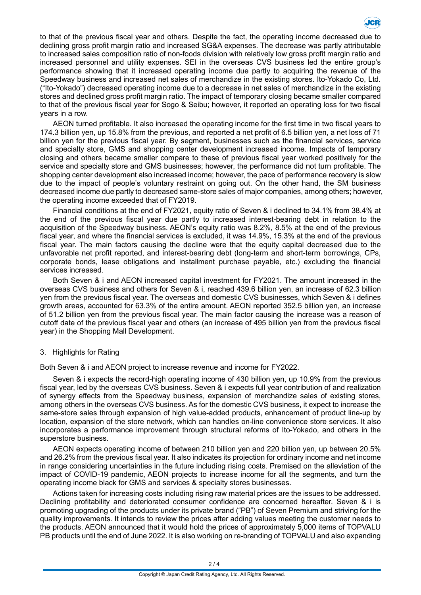

to that of the previous fiscal year and others. Despite the fact, the operating income decreased due to declining gross profit margin ratio and increased SG&A expenses. The decrease was partly attributable to increased sales composition ratio of non-foods division with relatively low gross profit margin ratio and increased personnel and utility expenses. SEI in the overseas CVS business led the entire group's performance showing that it increased operating income due partly to acquiring the revenue of the Speedway business and increased net sales of merchandize in the existing stores. Ito-Yokado Co, Ltd. ("Ito-Yokado") decreased operating income due to a decrease in net sales of merchandize in the existing stores and declined gross profit margin ratio. The impact of temporary closing became smaller compared to that of the previous fiscal year for Sogo & Seibu; however, it reported an operating loss for two fiscal years in a row.

AEON turned profitable. It also increased the operating income for the first time in two fiscal years to 174.3 billion yen, up 15.8% from the previous, and reported a net profit of 6.5 billion yen, a net loss of 71 billion yen for the previous fiscal year. By segment, businesses such as the financial services, service and specialty store, GMS and shopping center development increased income. Impacts of temporary closing and others became smaller compare to these of previous fiscal year worked positively for the service and specialty store and GMS businesses; however, the performance did not turn profitable. The shopping center development also increased income; however, the pace of performance recovery is slow due to the impact of people's voluntary restraint on going out. On the other hand, the SM business decreased income due partly to decreased same-store sales of major companies, among others; however, the operating income exceeded that of FY2019.

Financial conditions at the end of FY2021, equity ratio of Seven & i declined to 34.1% from 38.4% at the end of the previous fiscal year due partly to increased interest-bearing debt in relation to the acquisition of the Speedway business. AEON's equity ratio was 8.2%, 8.5% at the end of the previous fiscal year, and where the financial services is excluded, it was 14.9%, 15.3% at the end of the previous fiscal year. The main factors causing the decline were that the equity capital decreased due to the unfavorable net profit reported, and interest-bearing debt (long-term and short-term borrowings, CPs, corporate bonds, lease obligations and installment purchase payable, etc.) excluding the financial services increased.

Both Seven & i and AEON increased capital investment for FY2021. The amount increased in the overseas CVS business and others for Seven & i, reached 439.6 billion yen, an increase of 62.3 billion yen from the previous fiscal year. The overseas and domestic CVS businesses, which Seven & i defines growth areas, accounted for 63.3% of the entire amount. AEON reported 352.5 billion yen, an increase of 51.2 billion yen from the previous fiscal year. The main factor causing the increase was a reason of cutoff date of the previous fiscal year and others (an increase of 495 billion yen from the previous fiscal year) in the Shopping Mall Development.

### 3. Highlights for Rating

Both Seven & i and AEON project to increase revenue and income for FY2022.

Seven & i expects the record-high operating income of 430 billion yen, up 10.9% from the previous fiscal year, led by the overseas CVS business. Seven & i expects full year contribution of and realization of synergy effects from the Speedway business, expansion of merchandize sales of existing stores, among others in the overseas CVS business. As for the domestic CVS business, it expect to increase the same-store sales through expansion of high value-added products, enhancement of product line-up by location, expansion of the store network, which can handles on-line convenience store services. It also incorporates a performance improvement through structural reforms of Ito-Yokado, and others in the superstore business.

AEON expects operating income of between 210 billion yen and 220 billion yen, up between 20.5% and 26.2% from the previous fiscal year. It also indicates its projection for ordinary income and net income in range considering uncertainties in the future including rising costs. Premised on the alleviation of the impact of COVID-19 pandemic, AEON projects to increase income for all the segments, and turn the operating income black for GMS and services & specialty stores businesses.

Actions taken for increasing costs including rising raw material prices are the issues to be addressed. Declining profitability and deteriorated consumer confidence are concerned hereafter. Seven & i is promoting upgrading of the products under its private brand ("PB") of Seven Premium and striving for the quality improvements. It intends to review the prices after adding values meeting the customer needs to the products. AEON announced that it would hold the prices of approximately 5,000 items of TOPVALU PB products until the end of June 2022. It is also working on re-branding of TOPVALU and also expanding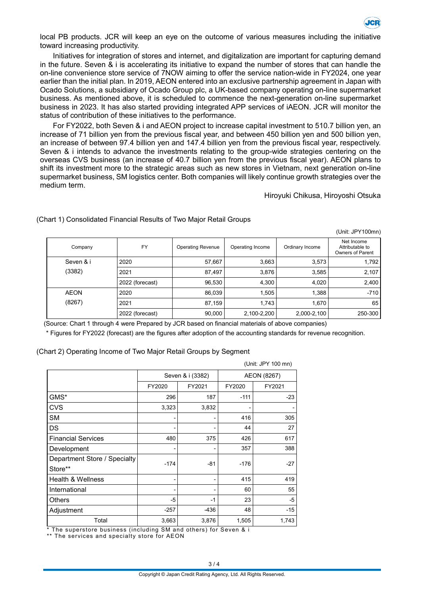

local PB products. JCR will keep an eye on the outcome of various measures including the initiative toward increasing productivity.

Initiatives for integration of stores and internet, and digitalization are important for capturing demand in the future. Seven & i is accelerating its initiative to expand the number of stores that can handle the on-line convenience store service of 7NOW aiming to offer the service nation-wide in FY2024, one year earlier than the initial plan. In 2019, AEON entered into an exclusive partnership agreement in Japan with Ocado Solutions, a subsidiary of Ocado Group plc, a UK-based company operating on-line supermarket business. As mentioned above, it is scheduled to commence the next-generation on-line supermarket business in 2023. It has also started providing integrated APP services of iAEON. JCR will monitor the status of contribution of these initiatives to the performance.

For FY2022, both Seven & i and AEON project to increase capital investment to 510.7 billion yen, an increase of 71 billion yen from the previous fiscal year, and between 450 billion yen and 500 billion yen, an increase of between 97.4 billion yen and 147.4 billion yen from the previous fiscal year, respectively. Seven & i intends to advance the investments relating to the group-wide strategies centering on the overseas CVS business (an increase of 40.7 billion yen from the previous fiscal year). AEON plans to shift its investment more to the strategic areas such as new stores in Vietnam, next generation on-line supermarket business, SM logistics center. Both companies will likely continue growth strategies over the medium term.

#### Hiroyuki Chikusa, Hiroyoshi Otsuka

(Unit: JPY100mn)

| Company     | <b>FY</b>       | <b>Operating Revenue</b> | Operating Income | Ordinary Income | Net Income<br>Attributable to<br>Owners of Parent |
|-------------|-----------------|--------------------------|------------------|-----------------|---------------------------------------------------|
| Seven & i   | 2020            | 57,667                   | 3,663            | 3,573           | 1,792                                             |
| (3382)      | 2021            | 87,497                   | 3,876            | 3,585           | 2,107                                             |
|             | 2022 (forecast) | 96,530                   | 4,300            | 4,020           | 2,400                                             |
| <b>AEON</b> | 2020            | 86,039                   | 1,505            | 1,388           | $-710$                                            |
| (8267)      | 2021            | 87,159                   | 1,743            | 1,670           | 65                                                |
|             | 2022 (forecast) | 90,000                   | 2,100-2,200      | 2,000-2,100     | 250-300                                           |

(Chart 1) Consolidated Financial Results of Two Major Retail Groups

(Source: Chart 1 through 4 were Prepared by JCR based on financial materials of above companies)

\* Figures for FY2022 (forecast) are the figures after adoption of the accounting standards for revenue recognition.

#### (Chart 2) Operating Income of Two Major Retail Groups by Segment

|                              |                  |        |             | (Unit: JPY 100 mn) |
|------------------------------|------------------|--------|-------------|--------------------|
|                              | Seven & i (3382) |        | AEON (8267) |                    |
|                              | FY2020           | FY2021 | FY2020      | FY2021             |
| GMS*                         | 296              | 187    | $-111$      | $-23$              |
| CVS                          | 3,323            | 3,832  |             |                    |
| <b>SM</b>                    | -                | ۰      | 416         | 305                |
| DS                           |                  |        | 44          | 27                 |
| <b>Financial Services</b>    | 480              | 375    | 426         | 617                |
| Development                  | -                | -      | 357         | 388                |
| Department Store / Specialty | $-174$           | $-81$  | $-176$      | $-27$              |
| Store**                      |                  |        |             |                    |
| <b>Health &amp; Wellness</b> | -                | -      | 415         | 419                |
| International                | -                |        | 60          | 55                 |
| <b>Others</b>                | -5               | $-1$   | 23          | -5                 |
| Adjustment                   | $-257$           | $-436$ | 48          | $-15$              |
| Total                        | 3,663            | 3,876  | 1,505       | 1,743              |

\* The superstore business (including SM and others) for Seven & i

\*\* The services and specialty store for AEON